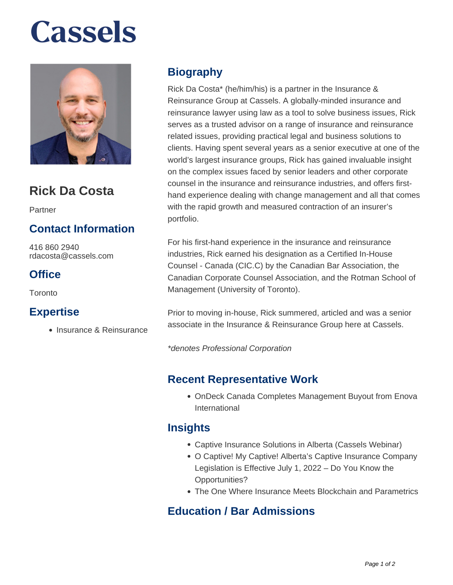# **Cassels**



### **Rick Da Costa**

Partner

#### **Contact Information**

416 860 2940 rdacosta@cassels.com

#### **Office**

Toronto

#### **Expertise**

• Insurance & Reinsurance

#### **Biography**

Rick Da Costa\* (he/him/his) is a partner in the Insurance & Reinsurance Group at Cassels. A globally-minded insurance and reinsurance lawyer using law as a tool to solve business issues, Rick serves as a trusted advisor on a range of insurance and reinsurance related issues, providing practical legal and business solutions to clients. Having spent several years as a senior executive at one of the world's largest insurance groups, Rick has gained invaluable insight on the complex issues faced by senior leaders and other corporate counsel in the insurance and reinsurance industries, and offers firsthand experience dealing with change management and all that comes with the rapid growth and measured contraction of an insurer's portfolio.

For his first-hand experience in the insurance and reinsurance industries, Rick earned his designation as a Certified In-House Counsel - Canada (CIC.C) by the Canadian Bar Association, the Canadian Corporate Counsel Association, and the Rotman School of Management (University of Toronto).

Prior to moving in-house, Rick summered, articled and was a senior associate in the Insurance & Reinsurance Group here at Cassels.

\*denotes Professional Corporation

#### **Recent Representative Work**

OnDeck Canada Completes Management Buyout from Enova International

#### **Insights**

- Captive Insurance Solutions in Alberta (Cassels Webinar)
- O Captive! My Captive! Alberta's Captive Insurance Company Legislation is Effective July 1, 2022 – Do You Know the Opportunities?
- The One Where Insurance Meets Blockchain and Parametrics

#### **Education / Bar Admissions**